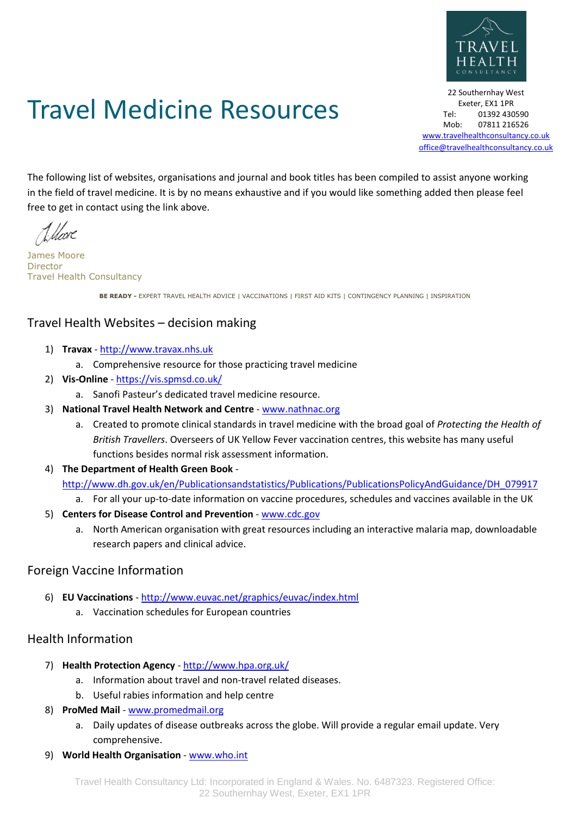

# Travel Medicine Resources

22 Southernhay West Exeter, EX1 1PR Tel: 01392 430590 Mob: 07811 216526 [www.travelhealthconsultancy.co.uk](http://www.travelhealthconsultancy.co.uk/) [office@travelhealthconsultancy.co.uk](mailto:office@travelhealthconsultancy.co.uk)

The following list of websites, organisations and journal and book titles has been compiled to assist anyone working in the field of travel medicine. It is by no means exhaustive and if you would like something added then please feel free to get in contact using the link above.

1. Hoore

James Moore Director Travel Health Consultancy

**BE READY -** EXPERT TRAVEL HEALTH ADVICE | VACCINATIONS | FIRST AID KITS | CONTINGENCY PLANNING | INSPIRATION

## Travel Health Websites – decision making

- 1) **Travax** [http://www.travax.nhs.uk](http://www.travax.nhs.uk/)
	- a. Comprehensive resource for those practicing travel medicine
- 2) **Vis-Online** <https://vis.spmsd.co.uk/>
	- a. Sanofi Pasteur's dedicated travel medicine resource.
- 3) **National Travel Health Network and Centre** [www.nathnac.org](http://www.nathnac.org/)
	- a. Created to promote clinical standards in travel medicine with the broad goal of *Protecting the Health of British Travellers*. Overseers of UK Yellow Fever vaccination centres, this website has many useful functions besides normal risk assessment information.
- 4) **The Department of Health Green Book** -

[http://www.dh.gov.uk/en/Publicationsandstatistics/Publications/PublicationsPolicyAndGuidance/DH\\_079917](http://www.dh.gov.uk/en/Publicationsandstatistics/Publications/PublicationsPolicyAndGuidance/DH_079917)

- a. For all your up-to-date information on vaccine procedures, schedules and vaccines available in the UK
- 5) **Centers for Disease Control and Prevention** [www.cdc.gov](http://www.cdc.gov/)
	- a. North American organisation with great resources including an interactive malaria map, downloadable research papers and clinical advice.

#### Foreign Vaccine Information

- 6) **EU Vaccinations** <http://www.euvac.net/graphics/euvac/index.html>
	- a. Vaccination schedules for European countries

## Health Information

- 7) **Health Protection Agency** <http://www.hpa.org.uk/>
	- a. Information about travel and non-travel related diseases.
	- b. Useful rabies information and help centre
- 8) **ProMed Mail** [www.promedmail.org](http://www.promedmail.org/)
	- a. Daily updates of disease outbreaks across the globe. Will provide a regular email update. Very comprehensive.
- 9) **World Health Organisation** [www.who.int](http://www.who.int/)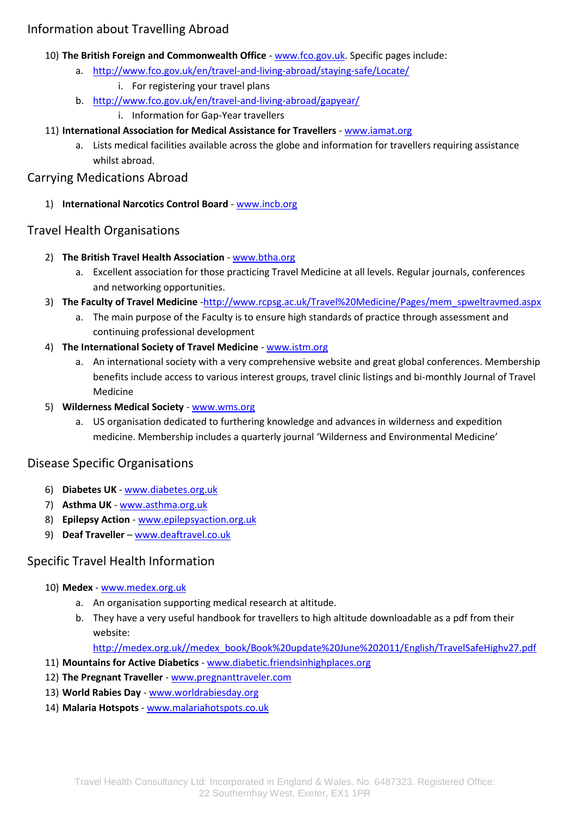## Information about Travelling Abroad

- 10) **The British Foreign and Commonwealth Office** [www.fco.gov.uk.](http://www.fco.gov.uk/) Specific pages include:
	- a. <http://www.fco.gov.uk/en/travel-and-living-abroad/staying-safe/Locate/>
		- i. For registering your travel plans
	- b. <http://www.fco.gov.uk/en/travel-and-living-abroad/gapyear/>
		- i. Information for Gap-Year travellers
- 11) **International Association for Medical Assistance for Travellers** [www.iamat.org](http://www.iamat.org/)
	- a. Lists medical facilities available across the globe and information for travellers requiring assistance whilst abroad.

#### Carrying Medications Abroad

1) **International Narcotics Control Board** - [www.incb.org](http://www.incb.org/)

#### Travel Health Organisations

- 2) **The British Travel Health Association** [www.btha.org](http://www.btha.org/)
	- a. Excellent association for those practicing Travel Medicine at all levels. Regular journals, conferences and networking opportunities.
- 3) **The Faculty of Travel Medicine** [-http://www.rcpsg.ac.uk/Travel%20Medicine/Pages/mem\\_spweltravmed.aspx](http://www.rcpsg.ac.uk/Travel%20Medicine/Pages/mem_spweltravmed.aspx)
	- a. The main purpose of the Faculty is to ensure high standards of practice through assessment and continuing professional development
- 4) **The International Society of Travel Medicine** [www.istm.org](http://www.istm.org/)
	- a. An international society with a very comprehensive website and great global conferences. Membership benefits include access to various interest groups, travel clinic listings and bi-monthly Journal of Travel Medicine
- 5) **Wilderness Medical Society** [www.wms.org](http://www.wms.org/)
	- a. US organisation dedicated to furthering knowledge and advances in wilderness and expedition medicine. Membership includes a quarterly journal 'Wilderness and Environmental Medicine'

## Disease Specific Organisations

- 6) **Diabetes UK** [www.diabetes.org.uk](http://www.diabetes.org.uk/)
- 7) **Asthma UK** [www.asthma.org.uk](http://www.asthma.org.uk/)
- 8) **Epilepsy Action** [www.epilepsyaction.org.uk](http://www.epilepsyaction.org.uk/)
- 9) **Deaf Traveller** [www.deaftravel.co.uk](http://www.deaftravel.co.uk/)

## Specific Travel Health Information

- 10) **Medex** [www.medex.org.uk](http://www.medex.org.uk/)
	- a. An organisation supporting medical research at altitude.
	- b. They have a very useful handbook for travellers to high altitude downloadable as a pdf from their website:

[http://medex.org.uk//medex\\_book/Book%20update%20June%202011/English/TravelSafeHighv27.pdf](http://medex.org.uk/medex_book/Book%20update%20June%202011/English/TravelSafeHighv27.pdf)

- 11) **Mountains for Active Diabetics** [www.diabetic.friendsinhighplaces.org](http://www.diabetic.friendsinhighplaces.org/)
- 12) **The Pregnant Traveller** [www.pregnanttraveler.com](http://www.pregnanttraveler.com/)
- 13) **World Rabies Day** [www.worldrabiesday.org](http://www.worldrabiesday.org/)
- 14) **Malaria Hotspots** [www.malariahotspots.co.uk](http://www.malariahotspots.co.uk/)